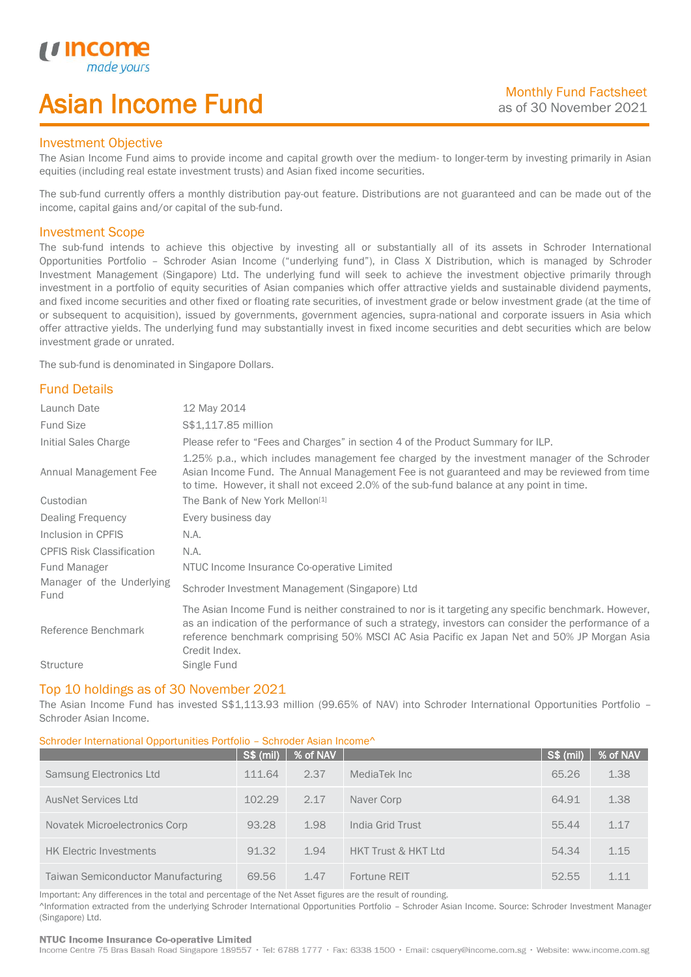# Asian Income Fund

## Investment Objective

*u* incor

I

The Asian Income Fund aims to provide income and capital growth over the medium- to longer-term by investing primarily in Asian equities (including real estate investment trusts) and Asian fixed income securities.

The sub-fund currently offers a monthly distribution pay-out feature. Distributions are not guaranteed and can be made out of the income, capital gains and/or capital of the sub-fund.

## Investment Scope

The sub-fund intends to achieve this objective by investing all or substantially all of its assets in Schroder International Opportunities Portfolio – Schroder Asian Income ("underlying fund"), in Class X Distribution, which is managed by Schroder Investment Management (Singapore) Ltd. The underlying fund will seek to achieve the investment objective primarily through investment in a portfolio of equity securities of Asian companies which offer attractive yields and sustainable dividend payments, and fixed income securities and other fixed or floating rate securities, of investment grade or below investment grade (at the time of or subsequent to acquisition), issued by governments, government agencies, supra-national and corporate issuers in Asia which offer attractive yields. The underlying fund may substantially invest in fixed income securities and debt securities which are below investment grade or unrated.

The sub-fund is denominated in Singapore Dollars.

## Fund Details

| Launch Date                       | 12 May 2014                                                                                                                                                                                                                                                                                                                 |
|-----------------------------------|-----------------------------------------------------------------------------------------------------------------------------------------------------------------------------------------------------------------------------------------------------------------------------------------------------------------------------|
| <b>Fund Size</b>                  | \$\$1,117.85 million                                                                                                                                                                                                                                                                                                        |
| Initial Sales Charge              | Please refer to "Fees and Charges" in section 4 of the Product Summary for ILP.                                                                                                                                                                                                                                             |
| Annual Management Fee             | 1.25% p.a., which includes management fee charged by the investment manager of the Schroder<br>Asian Income Fund. The Annual Management Fee is not guaranteed and may be reviewed from time<br>to time. However, it shall not exceed 2.0% of the sub-fund balance at any point in time.                                     |
| Custodian                         | The Bank of New York Mellon <sup>[1]</sup>                                                                                                                                                                                                                                                                                  |
| Dealing Frequency                 | Every business day                                                                                                                                                                                                                                                                                                          |
| Inclusion in CPFIS                | N.A.                                                                                                                                                                                                                                                                                                                        |
| <b>CPFIS Risk Classification</b>  | N.A.                                                                                                                                                                                                                                                                                                                        |
| Fund Manager                      | NTUC Income Insurance Co-operative Limited                                                                                                                                                                                                                                                                                  |
| Manager of the Underlying<br>Fund | Schroder Investment Management (Singapore) Ltd                                                                                                                                                                                                                                                                              |
| Reference Benchmark               | The Asian Income Fund is neither constrained to nor is it targeting any specific benchmark. However,<br>as an indication of the performance of such a strategy, investors can consider the performance of a<br>reference benchmark comprising 50% MSCI AC Asia Pacific ex Japan Net and 50% JP Morgan Asia<br>Credit Index. |
| <b>Structure</b>                  | Single Fund                                                                                                                                                                                                                                                                                                                 |

## Top 10 holdings as of 30 November 2021

The Asian Income Fund has invested S\$1,113.93 million (99.65% of NAV) into Schroder International Opportunities Portfolio – Schroder Asian Income.

## Schroder International Opportunities Portfolio – Schroder Asian Income^

|                                           | <b>S\$ (mil)</b> | % of NAV |                                | <b>S\$ (mil)</b> | % of NAV |
|-------------------------------------------|------------------|----------|--------------------------------|------------------|----------|
| Samsung Electronics Ltd                   | 111.64           | 2.37     | MediaTek Inc                   | 65.26            | 1.38     |
| <b>AusNet Services Ltd</b>                | 102.29           | 2.17     | Naver Corp                     | 64.91            | 1.38     |
| Novatek Microelectronics Corp             | 93.28            | 1.98     | India Grid Trust               | 55.44            | 1.17     |
| <b>HK Electric Investments</b>            | 91.32            | 1.94     | <b>HKT Trust &amp; HKT Ltd</b> | 54.34            | 1.15     |
| <b>Taiwan Semiconductor Manufacturing</b> | 69.56            | 1.47     | Fortune REIT                   | 52.55            | 1.11     |

Important: Any differences in the total and percentage of the Net Asset figures are the result of rounding. ^Information extracted from the underlying Schroder International Opportunities Portfolio – Schroder Asian Income. Source: Schroder Investment Manager (Singapore) Ltd.

### NTUC Income Insurance Co-operative Limited

Income Centre 75 Bras Basah Road Singapore 189557 · Tel: 6788 1777 · Fax: 6338 1500 · Email: csquery@income.com.sg · Website: www.income.com.sg